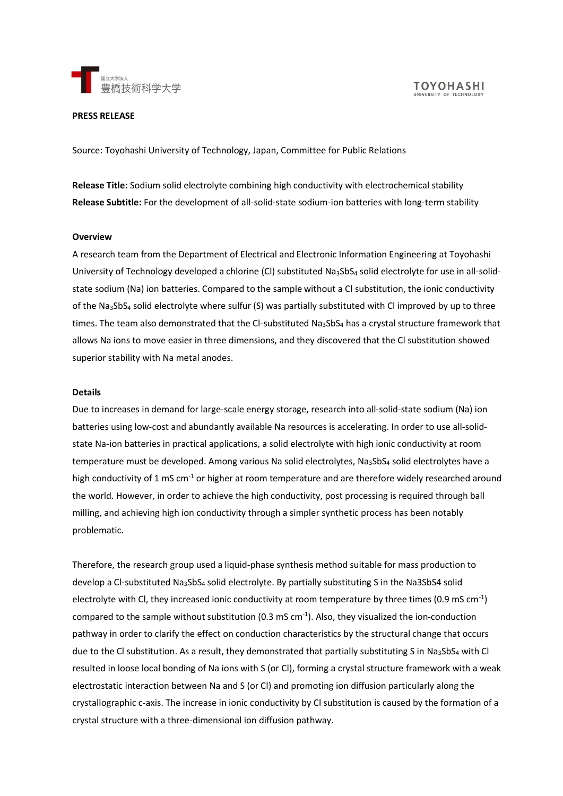

### **PRESS RELEASE**

Source: Toyohashi University of Technology, Japan, Committee for Public Relations

**Release Title:** Sodium solid electrolyte combining high conductivity with electrochemical stability **Release Subtitle:** For the development of all-solid-state sodium-ion batteries with long-term stability

### **Overview**

A research team from the Department of Electrical and Electronic Information Engineering at Toyohashi University of Technology developed a chlorine (CI) substituted Na<sub>3</sub>SbS<sub>4</sub> solid electrolyte for use in all-solidstate sodium (Na) ion batteries. Compared to the sample without a Cl substitution, the ionic conductivity of the Na3SbS<sup>4</sup> solid electrolyte where sulfur (S) was partially substituted with Cl improved by up to three times. The team also demonstrated that the CI-substituted  $N_{a3}SbS_4$  has a crystal structure framework that allows Na ions to move easier in three dimensions, and they discovered that the Cl substitution showed superior stability with Na metal anodes.

#### **Details**

Due to increases in demand for large-scale energy storage, research into all-solid-state sodium (Na) ion batteries using low-cost and abundantly available Na resources is accelerating. In order to use all-solidstate Na-ion batteries in practical applications, a solid electrolyte with high ionic conductivity at room temperature must be developed. Among various Na solid electrolytes, Na3SbS4 solid electrolytes have a high conductivity of 1 mS cm<sup>-1</sup> or higher at room temperature and are therefore widely researched around the world. However, in order to achieve the high conductivity, post processing is required through ball milling, and achieving high ion conductivity through a simpler synthetic process has been notably problematic.

Therefore, the research group used a liquid-phase synthesis method suitable for mass production to develop a Cl-substituted Na3SbS<sup>4</sup> solid electrolyte. By partially substituting S in the Na3SbS4 solid electrolyte with Cl, they increased ionic conductivity at room temperature by three times (0.9 mS cm<sup>-1</sup>) compared to the sample without substitution (0.3 mS cm<sup>-1</sup>). Also, they visualized the ion-conduction pathway in order to clarify the effect on conduction characteristics by the structural change that occurs due to the Cl substitution. As a result, they demonstrated that partially substituting S in Na<sub>3</sub>SbS<sub>4</sub> with Cl resulted in loose local bonding of Na ions with S (or Cl), forming a crystal structure framework with a weak electrostatic interaction between Na and S (or Cl) and promoting ion diffusion particularly along the crystallographic c-axis. The increase in ionic conductivity by Cl substitution is caused by the formation of a crystal structure with a three-dimensional ion diffusion pathway.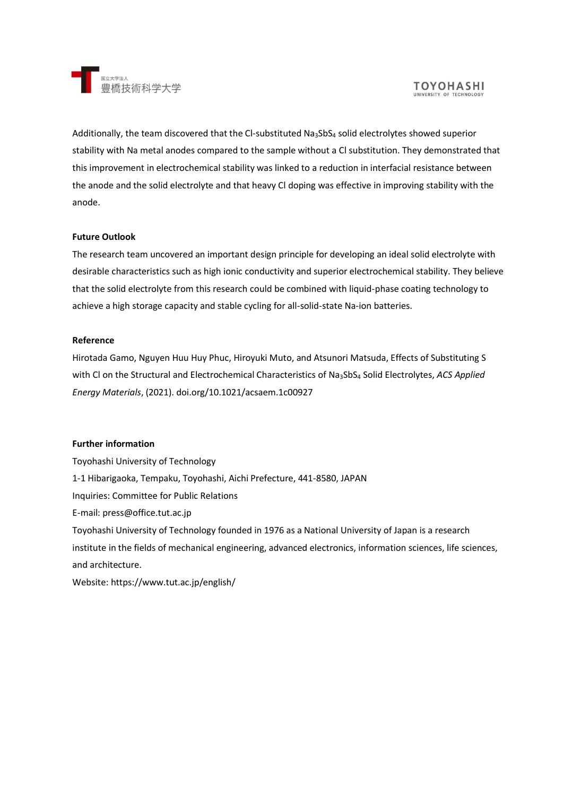

Additionally, the team discovered that the Cl-substituted Na<sub>3</sub>SbS<sub>4</sub> solid electrolytes showed superior stability with Na metal anodes compared to the sample without a Cl substitution. They demonstrated that this improvement in electrochemical stability was linked to a reduction in interfacial resistance between the anode and the solid electrolyte and that heavy Cl doping was effective in improving stability with the anode.

## **Future Outlook**

The research team uncovered an important design principle for developing an ideal solid electrolyte with desirable characteristics such as high ionic conductivity and superior electrochemical stability. They believe that the solid electrolyte from this research could be combined with liquid-phase coating technology to achieve a high storage capacity and stable cycling for all-solid-state Na-ion batteries.

## **Reference**

Hirotada Gamo, Nguyen Huu Huy Phuc, Hiroyuki Muto, and Atsunori Matsuda, Effects of Substituting S with Cl on the Structural and Electrochemical Characteristics of Na3SbS<sup>4</sup> Solid Electrolytes, *ACS Applied Energy Materials*, (2021). doi.org/10.1021/acsaem.1c00927

# **Further information**

Toyohashi University of Technology 1-1 Hibarigaoka, Tempaku, Toyohashi, Aichi Prefecture, 441-8580, JAPAN Inquiries: Committee for Public Relations E-mail: press@office.tut.ac.jp Toyohashi University of Technology founded in 1976 as a National University of Japan is a research institute in the fields of mechanical engineering, advanced electronics, information sciences, life sciences, and architecture.

Website: https://www.tut.ac.jp/english/